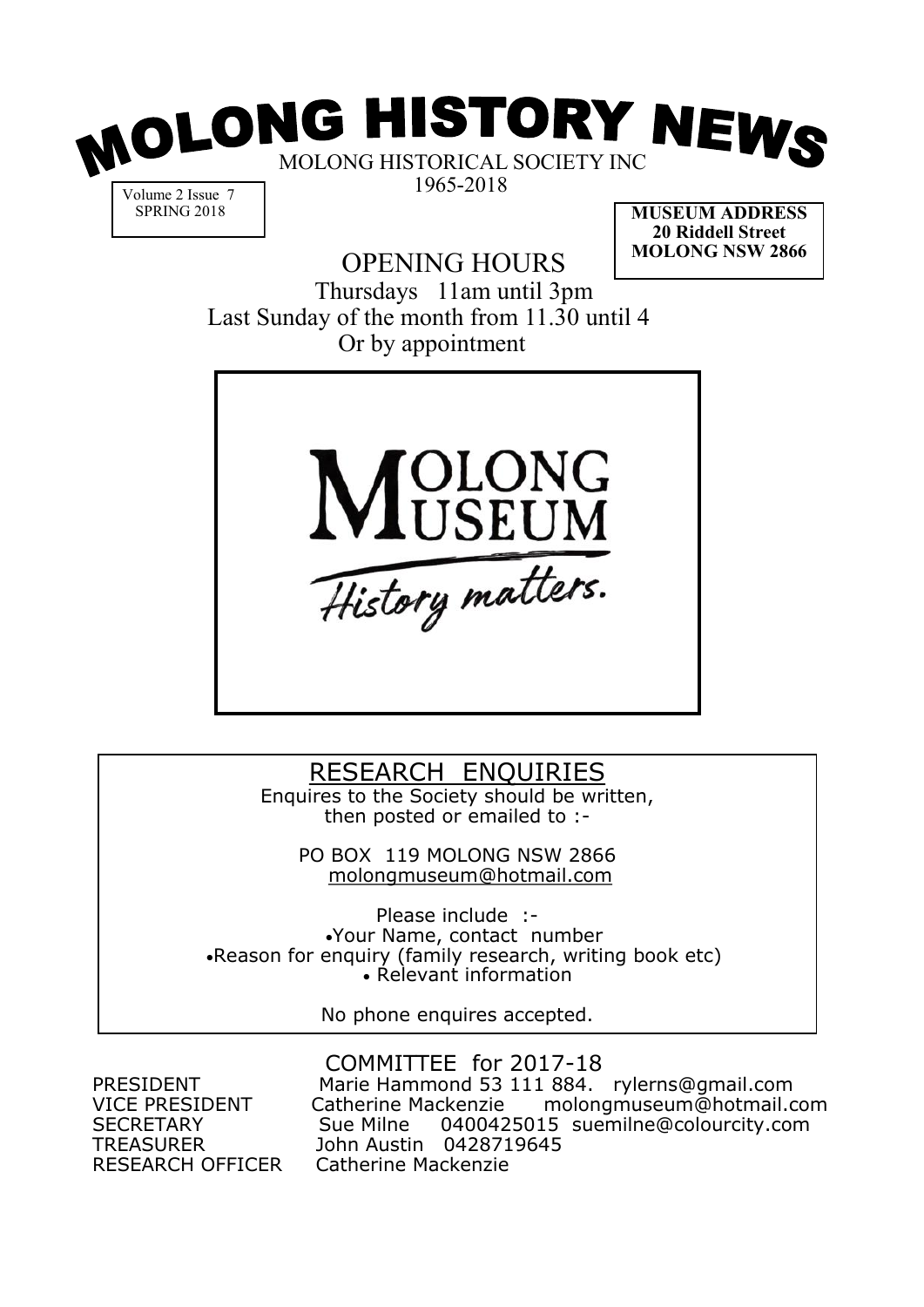

Volume 2 Issue 7 SPRING 2018

OPENING HOURS

**MUSEUM ADDRESS 20 Riddell Street MOLONG NSW 2866**

Thursdays 11am until 3pm Last Sunday of the month from 11.30 until 4 Or by appointment



### RESEARCH ENQUIRIES

Enquires to the Society should be written, then posted or emailed to :-

> PO BOX 119 MOLONG NSW 2866 molongmuseum@hotmail.com

Please include :- •Your Name, contact number •Reason for enquiry (family research, writing book etc) • Relevant information

No phone enquires accepted.

RESEARCH OFFICER

COMMITTEE for 2017-18 PRESIDENT Marie Hammond 53 111 884. rylerns@gmail.com VICE PRESIDENT Catherine Mackenzie molongmuseum@hotmail.com SECRETARY Sue Milne 0400425015 suemilne@colourcity.com TREASURER John Austin 0428719645<br>RESEARCH OFFICER Catherine Mackenzie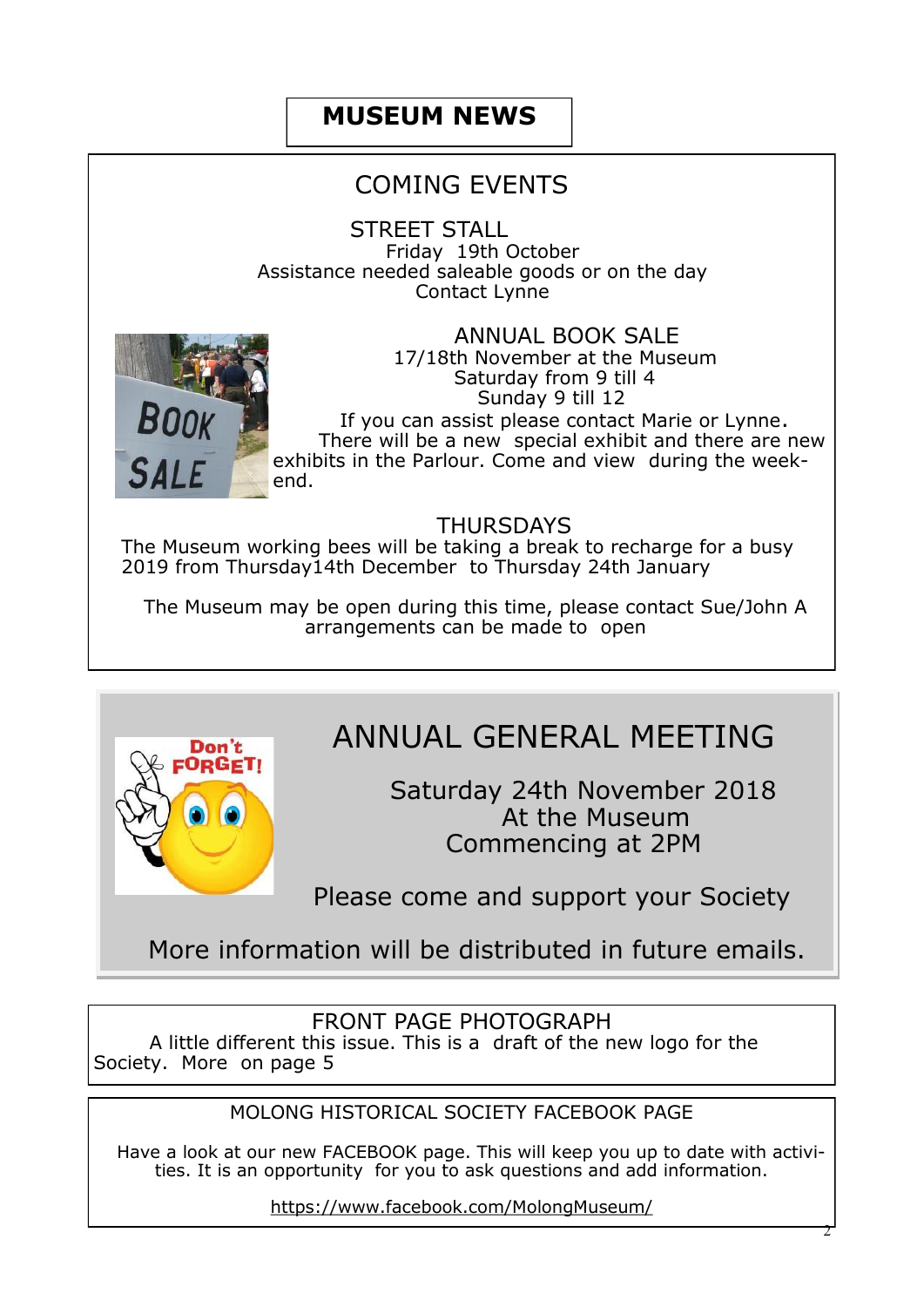# **MUSEUM NEWS**

# COMING EVENTS

STREET STALL Friday 19th October Assistance needed saleable goods or on the day Contact Lynne



 ANNUAL BOOK SALE 17/18th November at the Museum Saturday from 9 till 4 Sunday 9 till 12

 If you can assist please contact Marie or Lynne. There will be a new special exhibit and there are new exhibits in the Parlour. Come and view during the weekend.

#### THURSDAYS

The Museum working bees will be taking a break to recharge for a busy 2019 from Thursday14th December to Thursday 24th January

The Museum may be open during this time, please contact Sue/John A arrangements can be made to open



# ANNUAL GENERAL MEETING

Saturday 24th November 2018 At the Museum Commencing at 2PM

Please come and support your Society

More information will be distributed in future emails.

#### FRONT PAGE PHOTOGRAPH

 A little different this issue. This is a draft of the new logo for the Society. More on page 5

#### MOLONG HISTORICAL SOCIETY FACEBOOK PAGE

 Have a look at our new FACEBOOK page. This will keep you up to date with activities. It is an opportunity for you to ask questions and add information.

https://www.facebook.com/MolongMuseum/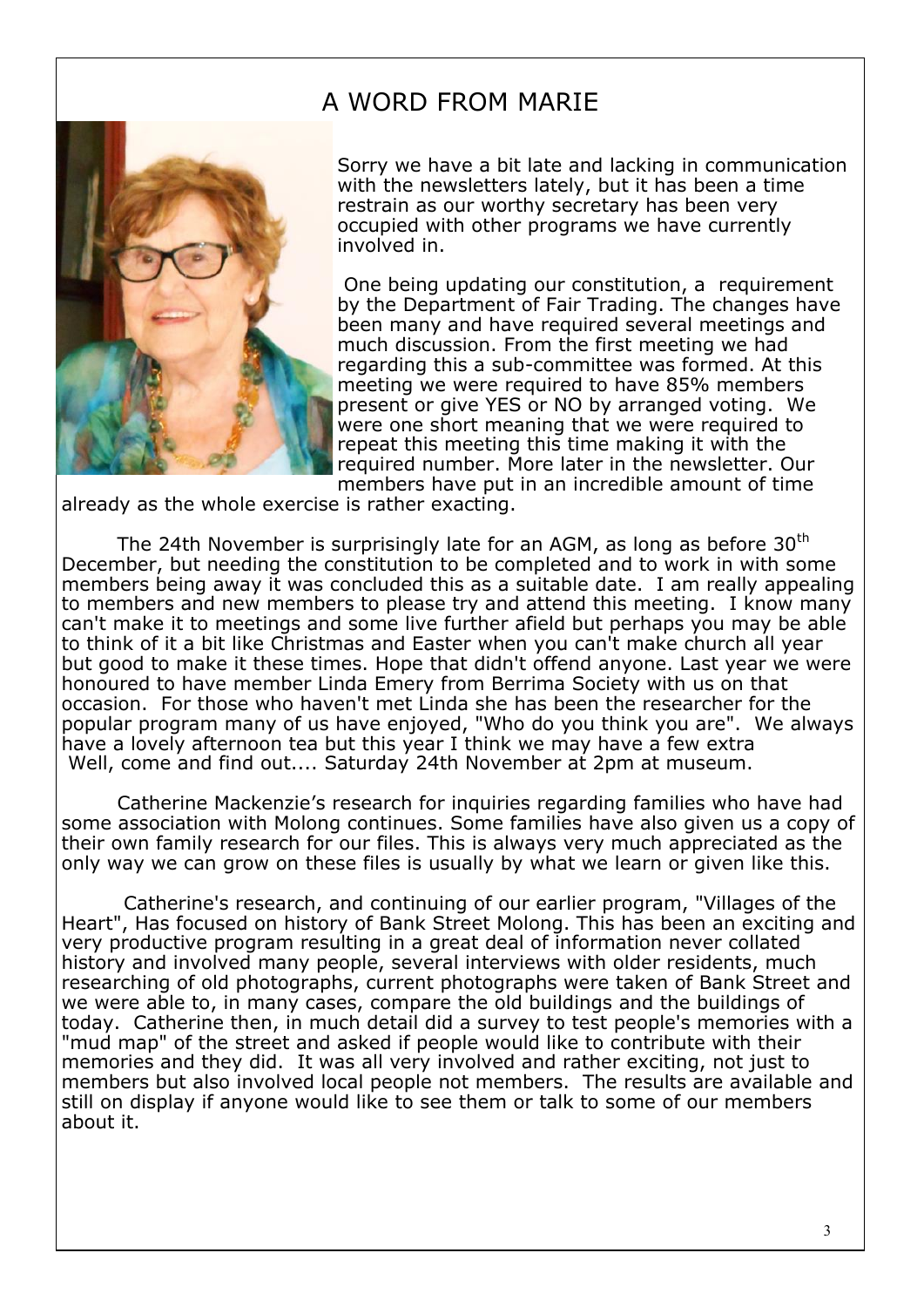# A WORD FROM MARIE

Sorry we have a bit late and lacking in communication with the newsletters lately, but it has been a time restrain as our worthy secretary has been very occupied with other programs we have currently involved in.

One being updating our constitution, a requirement by the Department of Fair Trading. The changes have been many and have required several meetings and much discussion. From the first meeting we had regarding this a sub-committee was formed. At this meeting we were required to have 85% members present or give YES or NO by arranged voting. We were one short meaning that we were required to repeat this meeting this time making it with the required number. More later in the newsletter. Our members have put in an incredible amount of time

already as the whole exercise is rather exacting.

The 24th November is surprisingly late for an AGM, as long as before  $30<sup>th</sup>$ December, but needing the constitution to be completed and to work in with some members being away it was concluded this as a suitable date. I am really appealing to members and new members to please try and attend this meeting. I know many can't make it to meetings and some live further afield but perhaps you may be able to think of it a bit like Christmas and Easter when you can't make church all year but good to make it these times. Hope that didn't offend anyone. Last year we were honoured to have member Linda Emery from Berrima Society with us on that occasion. For those who haven't met Linda she has been the researcher for the popular program many of us have enjoyed, "Who do you think you are". We always have a lovely afternoon tea but this year I think we may have a few extra Well, come and find out.... Saturday 24th November at 2pm at museum.

Catherine Mackenzie's research for inquiries regarding families who have had some association with Molong continues. Some families have also given us a copy of their own family research for our files. This is always very much appreciated as the only way we can grow on these files is usually by what we learn or given like this.

Catherine's research, and continuing of our earlier program, "Villages of the Heart", Has focused on history of Bank Street Molong. This has been an exciting and very productive program resulting in a great deal of information never collated history and involved many people, several interviews with older residents, much researching of old photographs, current photographs were taken of Bank Street and we were able to, in many cases, compare the old buildings and the buildings of today. Catherine then, in much detail did a survey to test people's memories with a "mud map" of the street and asked if people would like to contribute with their memories and they did. It was all very involved and rather exciting, not just to members but also involved local people not members. The results are available and still on display if anyone would like to see them or talk to some of our members about it.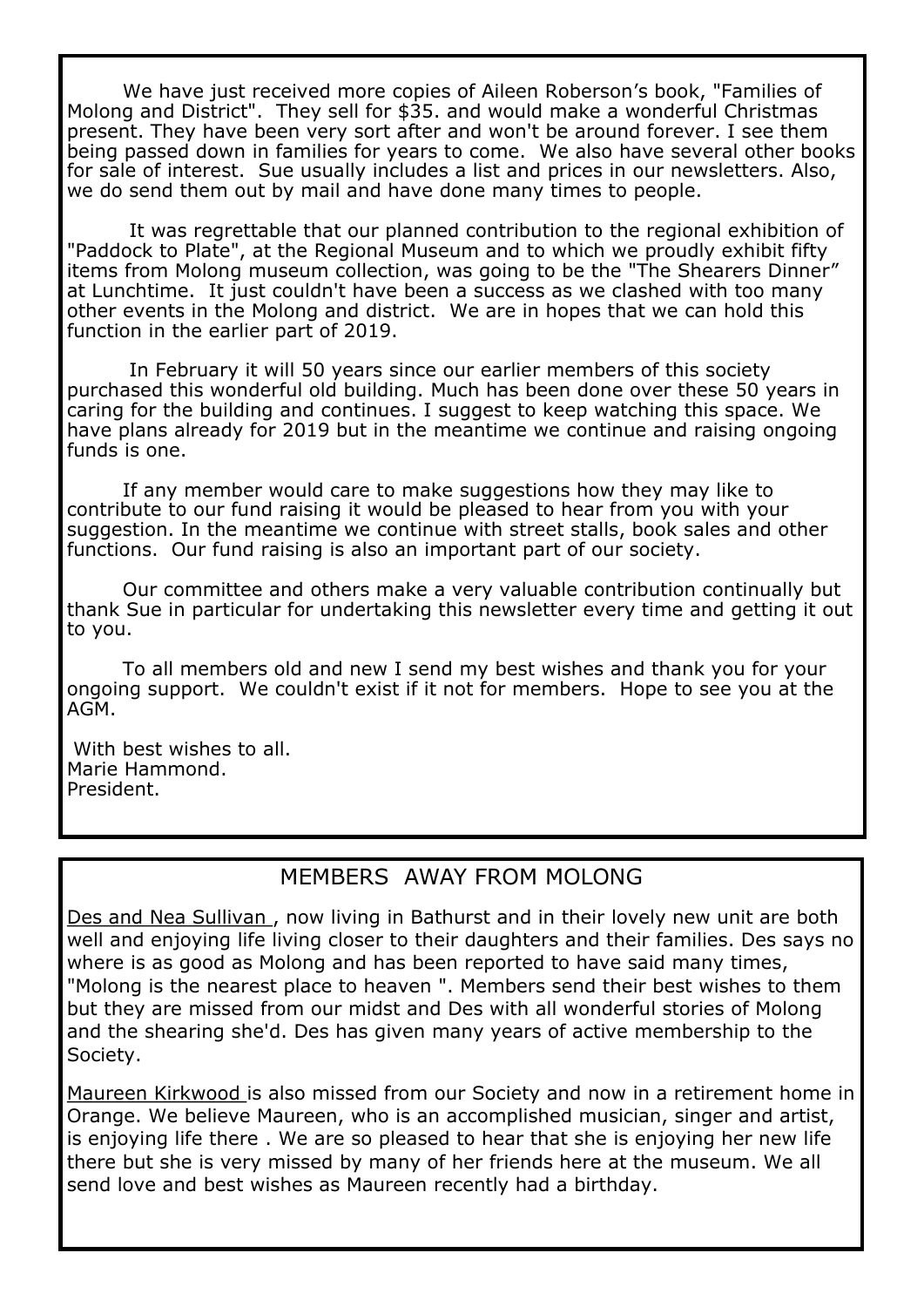We have just received more copies of Aileen Roberson's book, "Families of Molong and District". They sell for \$35. and would make a wonderful Christmas present. They have been very sort after and won't be around forever. I see them being passed down in families for years to come. We also have several other books for sale of interest. Sue usually includes a list and prices in our newsletters. Also, we do send them out by mail and have done many times to people.

It was regrettable that our planned contribution to the regional exhibition of "Paddock to Plate", at the Regional Museum and to which we proudly exhibit fifty items from Molong museum collection, was going to be the "The Shearers Dinner" at Lunchtime. It just couldn't have been a success as we clashed with too many other events in the Molong and district. We are in hopes that we can hold this function in the earlier part of 2019.

In February it will 50 years since our earlier members of this society purchased this wonderful old building. Much has been done over these 50 years in caring for the building and continues. I suggest to keep watching this space. We have plans already for 2019 but in the meantime we continue and raising ongoing funds is one.

If any member would care to make suggestions how they may like to contribute to our fund raising it would be pleased to hear from you with your suggestion. In the meantime we continue with street stalls, book sales and other functions. Our fund raising is also an important part of our society.

Our committee and others make a very valuable contribution continually but thank Sue in particular for undertaking this newsletter every time and getting it out to you.

To all members old and new I send my best wishes and thank you for your ongoing support. We couldn't exist if it not for members. Hope to see you at the AGM.

With best wishes to all. Marie Hammond. President.

#### MEMBERS AWAY FROM MOLONG

Des and Nea Sullivan , now living in Bathurst and in their lovely new unit are both well and enjoying life living closer to their daughters and their families. Des says no where is as good as Molong and has been reported to have said many times, "Molong is the nearest place to heaven ". Members send their best wishes to them but they are missed from our midst and Des with all wonderful stories of Molong and the shearing she'd. Des has given many years of active membership to the Society.

Maureen Kirkwood is also missed from our Society and now in a retirement home in Orange. We believe Maureen, who is an accomplished musician, singer and artist, is enjoying life there . We are so pleased to hear that she is enjoying her new life there but she is very missed by many of her friends here at the museum. We all send love and best wishes as Maureen recently had a birthday.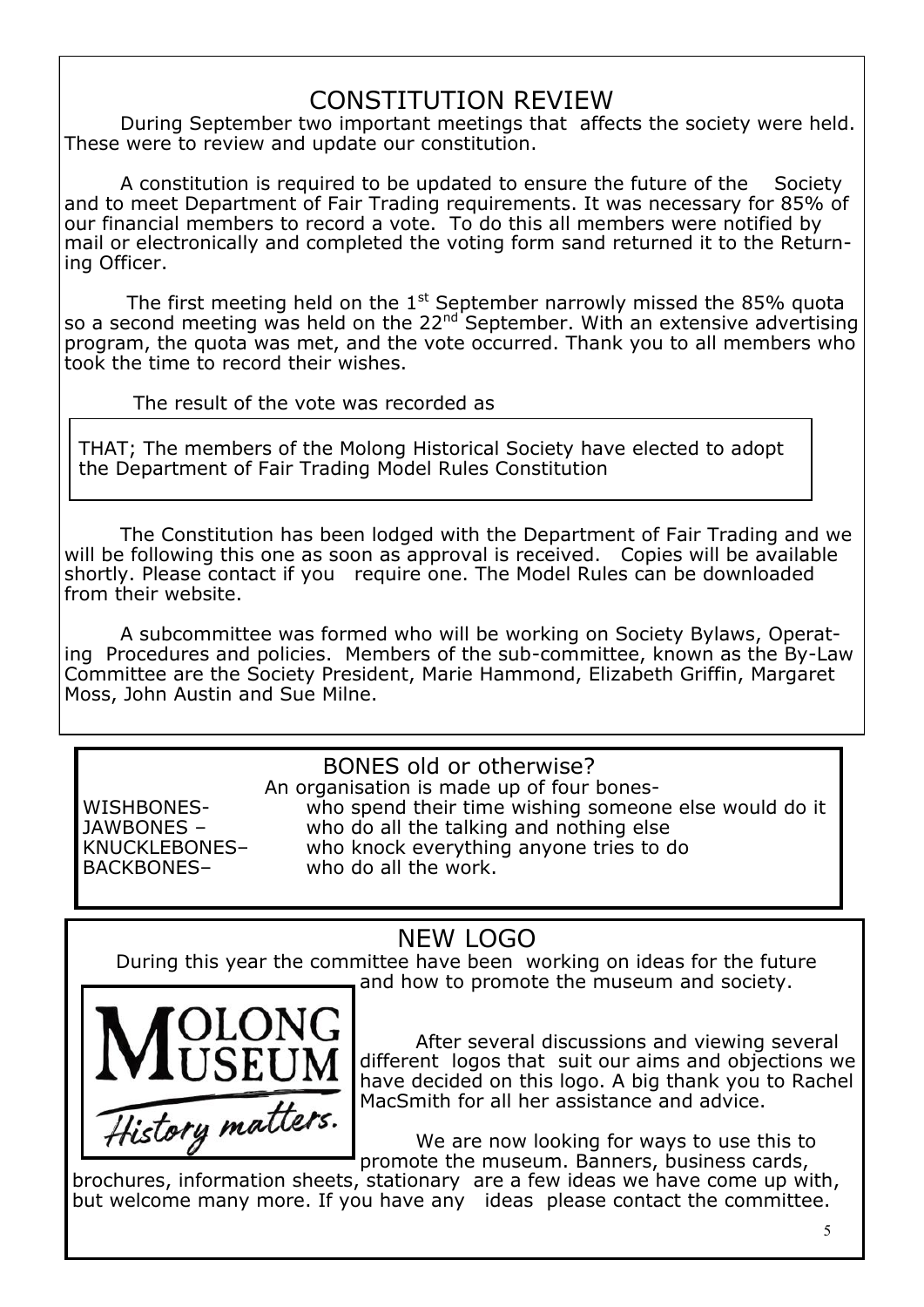# CONSTITUTION REVIEW

During September two important meetings that affects the society were held. These were to review and update our constitution.

A constitution is required to be updated to ensure the future of the Society and to meet Department of Fair Trading requirements. It was necessary for 85% of our financial members to record a vote. To do this all members were notified by mail or electronically and completed the voting form sand returned it to the Returning Officer.

The first meeting held on the  $1<sup>st</sup>$  September narrowly missed the 85% quota so a second meeting was held on the  $22^{nd}$  September. With an extensive advertising program, the quota was met, and the vote occurred. Thank you to all members who took the time to record their wishes.

The result of the vote was recorded as

THAT; The members of the Molong Historical Society have elected to adopt the Department of Fair Trading Model Rules Constitution

The Constitution has been lodged with the Department of Fair Trading and we will be following this one as soon as approval is received. Copies will be available shortly. Please contact if you require one. The Model Rules can be downloaded from their website.

A subcommittee was formed who will be working on Society Bylaws, Operating Procedures and policies. Members of the sub-committee, known as the By-Law Committee are the Society President, Marie Hammond, Elizabeth Griffin, Margaret Moss, John Austin and Sue Milne.

BONES old or otherwise? An organisation is made up of four bones-WISHBONES- who spend their time wishing someone else would do it JAWBONES – who do all the talking and nothing else KNUCKLEBONES– who knock everything anyone tries to do BACKBONES– who do all the work.

# NEW LOGO

 During this year the committee have been working on ideas for the future and how to promote the museum and society.



After several discussions and viewing several different logos that suit our aims and objections we have decided on this logo. A big thank you to Rachel MacSmith for all her assistance and advice.

We are now looking for ways to use this to promote the museum. Banners, business cards,

brochures, information sheets, stationary are a few ideas we have come up with, but welcome many more. If you have any ideas please contact the committee.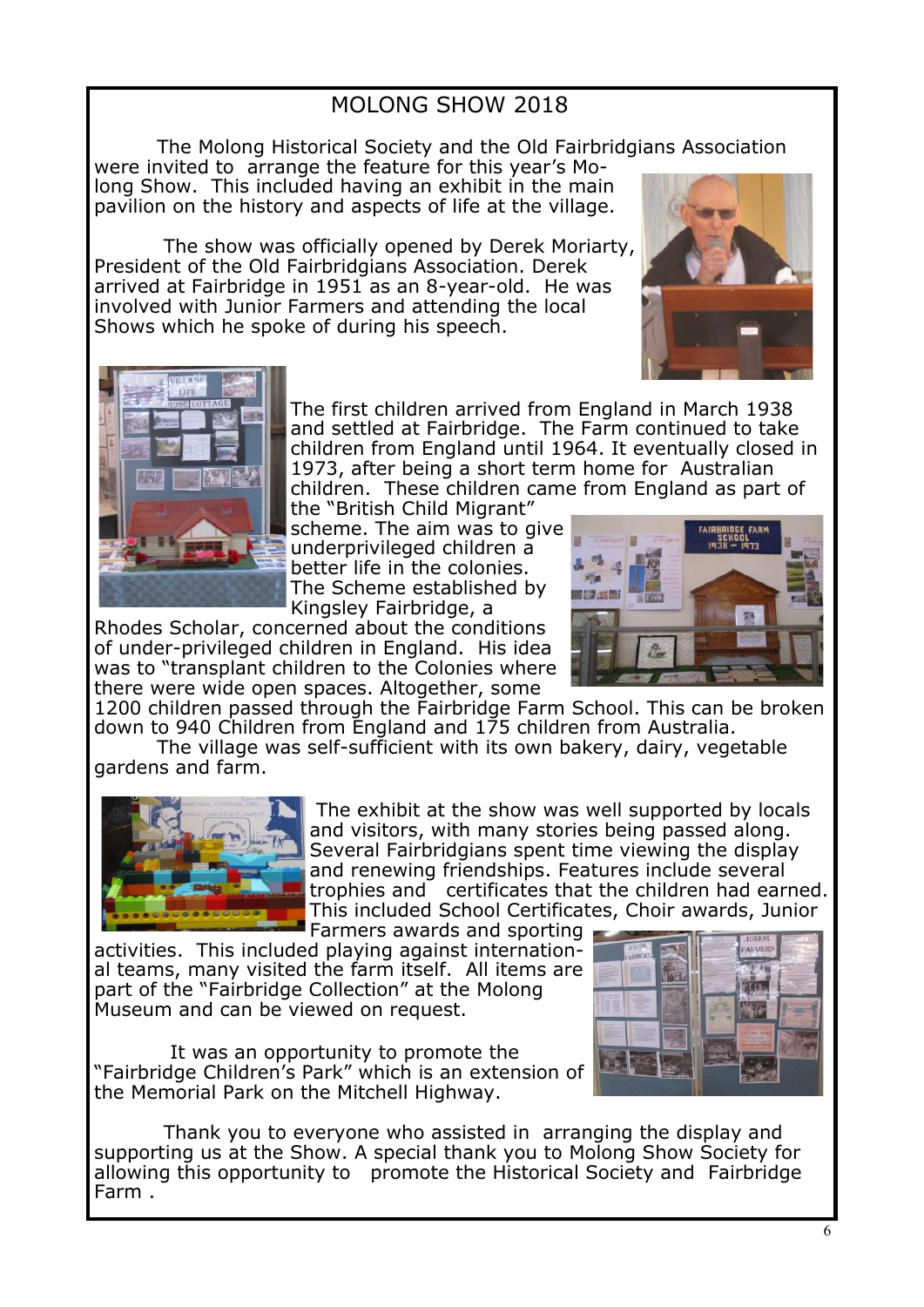#### MOLONG SHOW 2018

The Molong Historical Society and the Old Fairbridgians Association

were invited to arrange the feature for this year's Molong Show. This included having an exhibit in the main pavilion on the history and aspects of life at the village.

The show was officially opened by Derek Moriarty, President of the Old Fairbridgians Association. Derek arrived at Fairbridge in 1951 as an 8-year-old. He was involved with Junior Farmers and attending the local Shows which he spoke of during his speech.





The first children arrived from England in March 1938 and settled at Fairbridge. The Farm continued to take children from England until 1964. It eventually closed in 1973, after being a short term home for Australian children. These children came from England as part of

the "British Child Migrant" scheme. The aim was to give underprivileged children a better life in the colonies. The Scheme established by Kingsley Fairbridge, a

Rhodes Scholar, concerned about the conditions of under-privileged children in England. His idea was to "transplant children to the Colonies where there were wide open spaces. Altogether, some



1200 children passed through the Fairbridge Farm School. This can be broken down to 940 Children from England and 175 children from Australia.

The village was self-sufficient with its own bakery, dairy, vegetable gardens and farm.



The exhibit at the show was well supported by locals and visitors, with many stories being passed along. Several Fairbridgians spent time viewing the display and renewing friendships. Features include several trophies and certificates that the children had earned. This included School Certificates, Choir awards, Junior Farmers awards and sporting

activities. This included playing against international teams, many visited the farm itself. All items are part of the "Fairbridge Collection" at the Molong Museum and can be viewed on request.

 It was an opportunity to promote the "Fairbridge Children's Park" which is an extension of the Memorial Park on the Mitchell Highway.

Thank you to everyone who assisted in arranging the display and supporting us at the Show. A special thank you to Molong Show Society for allowing this opportunity to promote the Historical Society and Fairbridge Farm .

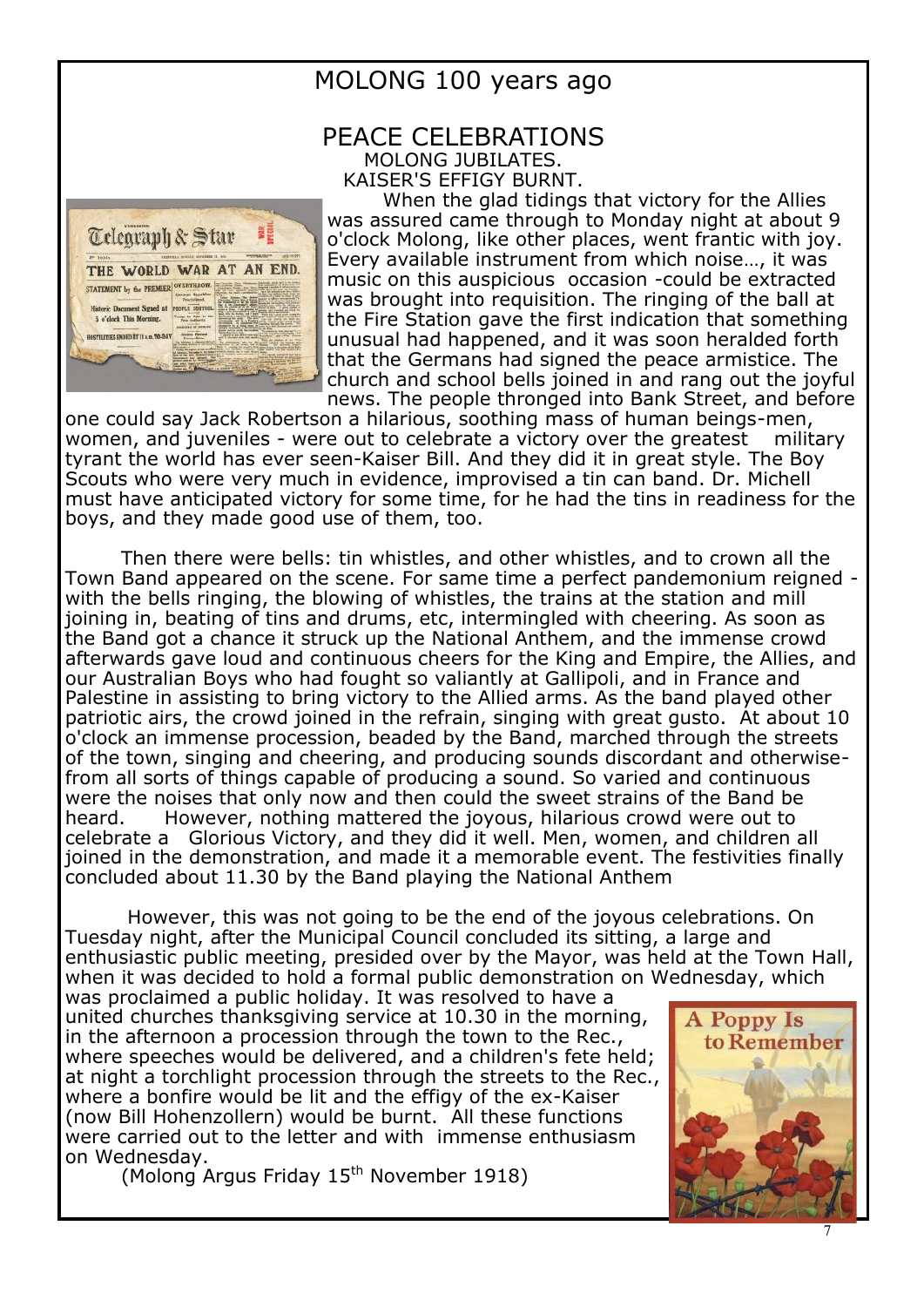

## MOLONG 100 years ago

#### PEACE CELEBRATIONS MOLONG JUBILATES. KAISER'S EFFIGY BURNT.

When the glad tidings that victory for the Allies was assured came through to Monday night at about 9 o'clock Molong, like other places, went frantic with joy. Every available instrument from which noise…, it was music on this auspicious occasion -could be extracted was brought into requisition. The ringing of the ball at the Fire Station gave the first indication that something unusual had happened, and it was soon heralded forth that the Germans had signed the peace armistice. The church and school bells joined in and rang out the joyful news. The people thronged into Bank Street, and before

one could say Jack Robertson a hilarious, soothing mass of human beings-men, women, and juveniles - were out to celebrate a victory over the greatest military tyrant the world has ever seen-Kaiser Bill. And they did it in great style. The Boy Scouts who were very much in evidence, improvised a tin can band. Dr. Michell must have anticipated victory for some time, for he had the tins in readiness for the boys, and they made good use of them, too.

Then there were bells: tin whistles, and other whistles, and to crown all the Town Band appeared on the scene. For same time a perfect pandemonium reigned with the bells ringing, the blowing of whistles, the trains at the station and mill joining in, beating of tins and drums, etc, intermingled with cheering. As soon as the Band got a chance it struck up the National Anthem, and the immense crowd afterwards gave loud and continuous cheers for the King and Empire, the Allies, and our Australian Boys who had fought so valiantly at Gallipoli, and in France and Palestine in assisting to bring victory to the Allied arms. As the band played other patriotic airs, the crowd joined in the refrain, singing with great gusto. At about 10 o'clock an immense procession, beaded by the Band, marched through the streets of the town, singing and cheering, and producing sounds discordant and otherwisefrom all sorts of things capable of producing a sound. So varied and continuous were the noises that only now and then could the sweet strains of the Band be heard. However, nothing mattered the joyous, hilarious crowd were out to celebrate a Glorious Victory, and they did it well. Men, women, and children all joined in the demonstration, and made it a memorable event. The festivities finally concluded about 11.30 by the Band playing the National Anthem

However, this was not going to be the end of the joyous celebrations. On Tuesday night, after the Municipal Council concluded its sitting, a large and enthusiastic public meeting, presided over by the Mayor, was held at the Town Hall, when it was decided to hold a formal public demonstration on Wednesday, which

was proclaimed a public holiday. It was resolved to have a united churches thanksgiving service at 10.30 in the morning, in the afternoon a procession through the town to the Rec., where speeches would be delivered, and a children's fete held; at night a torchlight procession through the streets to the Rec., where a bonfire would be lit and the effigy of the ex-Kaiser (now Bill Hohenzollern) would be burnt. All these functions were carried out to the letter and with immense enthusiasm on Wednesday.

(Molong Argus Friday 15<sup>th</sup> November 1918)

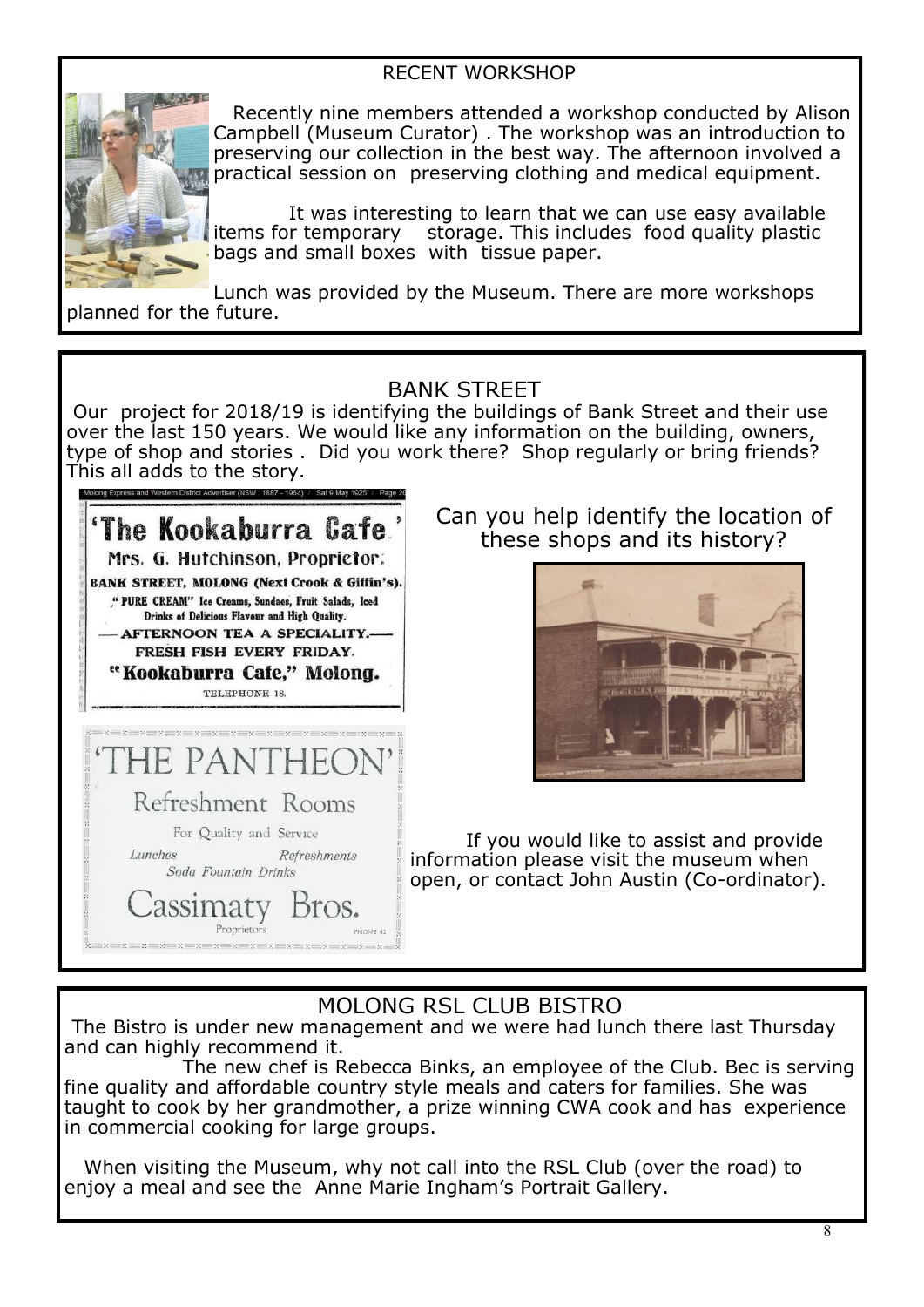#### RECENT WORKSHOP



 Recently nine members attended a workshop conducted by Alison Campbell (Museum Curator) . The workshop was an introduction to preserving our collection in the best way. The afternoon involved a practical session on preserving clothing and medical equipment.

 It was interesting to learn that we can use easy available items for temporary storage. This includes food quality plastic bags and small boxes with tissue paper.

Lunch was provided by the Museum. There are more workshops planned for the future.

#### BANK STREET

Our project for 2018/19 is identifying the buildings of Bank Street and their use over the last 150 years. We would like any information on the building, owners, type of shop and stories . Did you work there? Shop regularly or bring friends? This all adds to the story.



Can you help identify the location of these shops and its history?



If you would like to assist and provide information please visit the museum when open, or contact John Austin (Co-ordinator).

#### MOLONG RSL CLUB BISTRO

The Bistro is under new management and we were had lunch there last Thursday and can highly recommend it.

The new chef is Rebecca Binks, an employee of the Club. Bec is serving fine quality and affordable country style meals and caters for families. She was taught to cook by her grandmother, a prize winning CWA cook and has experience in commercial cooking for large groups.

 When visiting the Museum, why not call into the RSL Club (over the road) to enjoy a meal and see the Anne Marie Ingham's Portrait Gallery.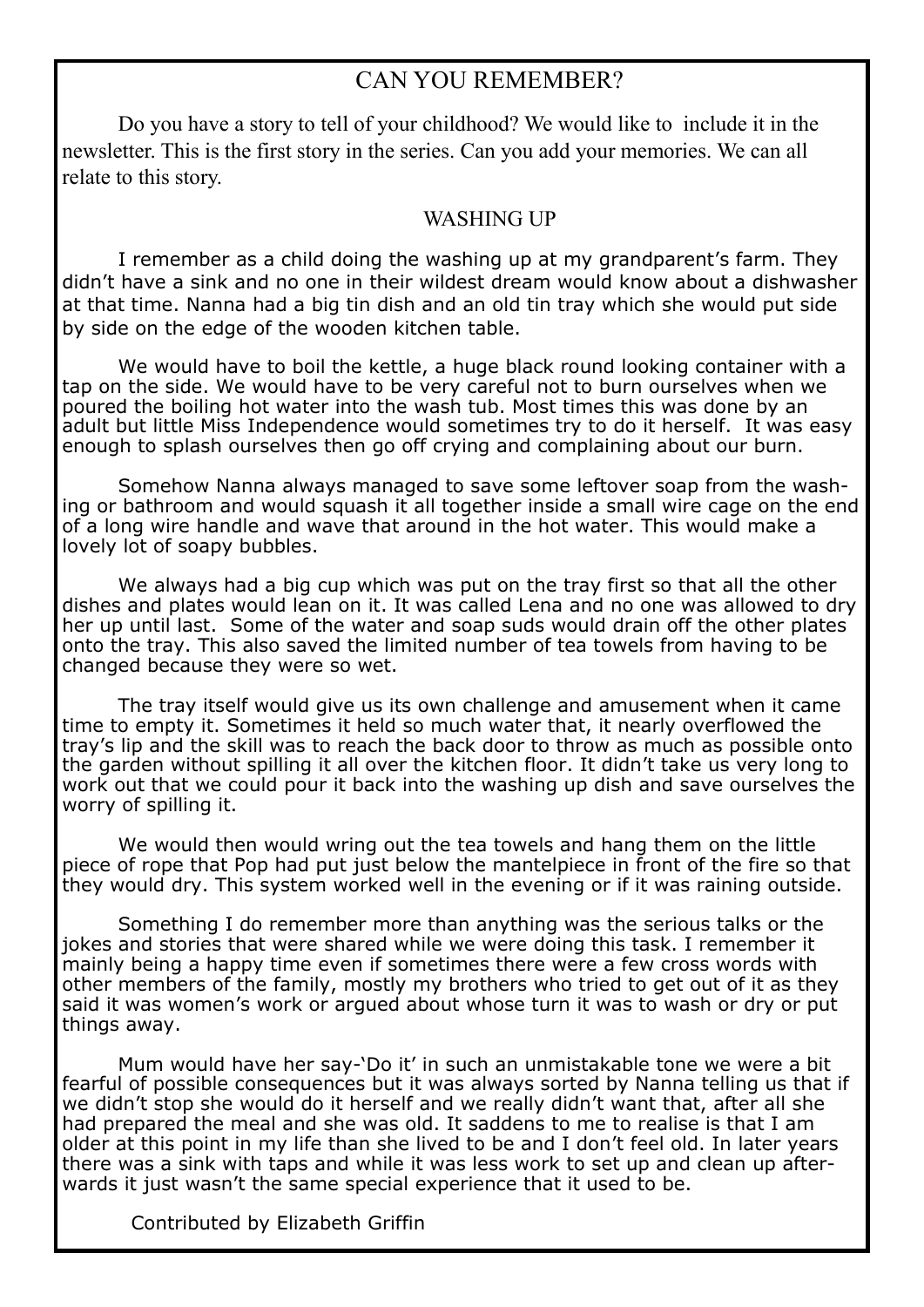#### CAN YOU REMEMBER?

Do you have a story to tell of your childhood? We would like to include it in the newsletter. This is the first story in the series. Can you add your memories. We can all relate to this story.

#### WASHING UP

I remember as a child doing the washing up at my grandparent's farm. They didn't have a sink and no one in their wildest dream would know about a dishwasher at that time. Nanna had a big tin dish and an old tin tray which she would put side by side on the edge of the wooden kitchen table.

We would have to boil the kettle, a huge black round looking container with a tap on the side. We would have to be very careful not to burn ourselves when we poured the boiling hot water into the wash tub. Most times this was done by an adult but little Miss Independence would sometimes try to do it herself. It was easy enough to splash ourselves then go off crying and complaining about our burn.

Somehow Nanna always managed to save some leftover soap from the washing or bathroom and would squash it all together inside a small wire cage on the end of a long wire handle and wave that around in the hot water. This would make a lovely lot of soapy bubbles.

We always had a big cup which was put on the tray first so that all the other dishes and plates would lean on it. It was called Lena and no one was allowed to dry her up until last. Some of the water and soap suds would drain off the other plates onto the tray. This also saved the limited number of tea towels from having to be changed because they were so wet.

The tray itself would give us its own challenge and amusement when it came time to empty it. Sometimes it held so much water that, it nearly overflowed the tray's lip and the skill was to reach the back door to throw as much as possible onto the garden without spilling it all over the kitchen floor. It didn't take us very long to work out that we could pour it back into the washing up dish and save ourselves the worry of spilling it.

We would then would wring out the tea towels and hang them on the little piece of rope that Pop had put just below the mantelpiece in front of the fire so that they would dry. This system worked well in the evening or if it was raining outside.

Something I do remember more than anything was the serious talks or the jokes and stories that were shared while we were doing this task. I remember it mainly being a happy time even if sometimes there were a few cross words with other members of the family, mostly my brothers who tried to get out of it as they said it was women's work or argued about whose turn it was to wash or dry or put things away.

Mum would have her say-'Do it' in such an unmistakable tone we were a bit fearful of possible consequences but it was always sorted by Nanna telling us that if we didn't stop she would do it herself and we really didn't want that, after all she had prepared the meal and she was old. It saddens to me to realise is that I am older at this point in my life than she lived to be and I don't feel old. In later years there was a sink with taps and while it was less work to set up and clean up afterwards it just wasn't the same special experience that it used to be.

Contributed by Elizabeth Griffin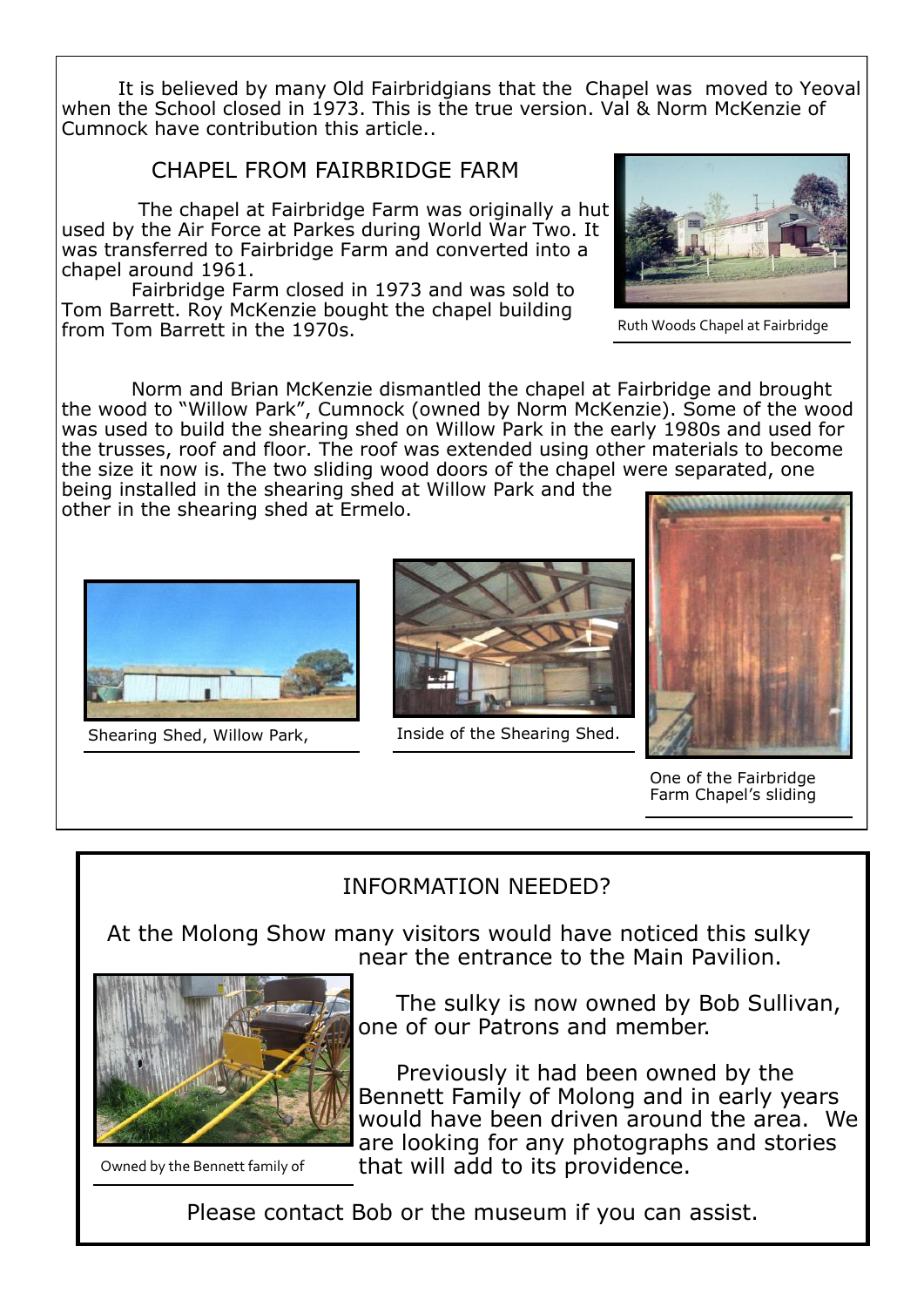It is believed by many Old Fairbridgians that the Chapel was moved to Yeoval when the School closed in 1973. This is the true version. Val & Norm McKenzie of Cumnock have contribution this article..

#### CHAPEL FROM FAIRBRIDGE FARM

The chapel at Fairbridge Farm was originally a hut used by the Air Force at Parkes during World War Two. It was transferred to Fairbridge Farm and converted into a chapel around 1961.

Fairbridge Farm closed in 1973 and was sold to Tom Barrett. Roy McKenzie bought the chapel building from Tom Barrett in the 1970s.



Ruth Woods Chapel at Fairbridge

Norm and Brian McKenzie dismantled the chapel at Fairbridge and brought the wood to "Willow Park", Cumnock (owned by Norm McKenzie). Some of the wood was used to build the shearing shed on Willow Park in the early 1980s and used for the trusses, roof and floor. The roof was extended using other materials to become the size it now is. The two sliding wood doors of the chapel were separated, one being installed in the shearing shed at Willow Park and the

other in the shearing shed at Ermelo.



Shearing Shed, Willow Park, Inside of the Shearing Shed.





One of the Fairbridge Farm Chapel's sliding

# INFORMATION NEEDED?

 At the Molong Show many visitors would have noticed this sulky near the entrance to the Main Pavilion.



 The sulky is now owned by Bob Sullivan, one of our Patrons and member.

 Previously it had been owned by the Bennett Family of Molong and in early years would have been driven around the area. We are looking for any photographs and stories that will add to its providence.

Owned by the Bennett family of

Please contact Bob or the museum if you can assist.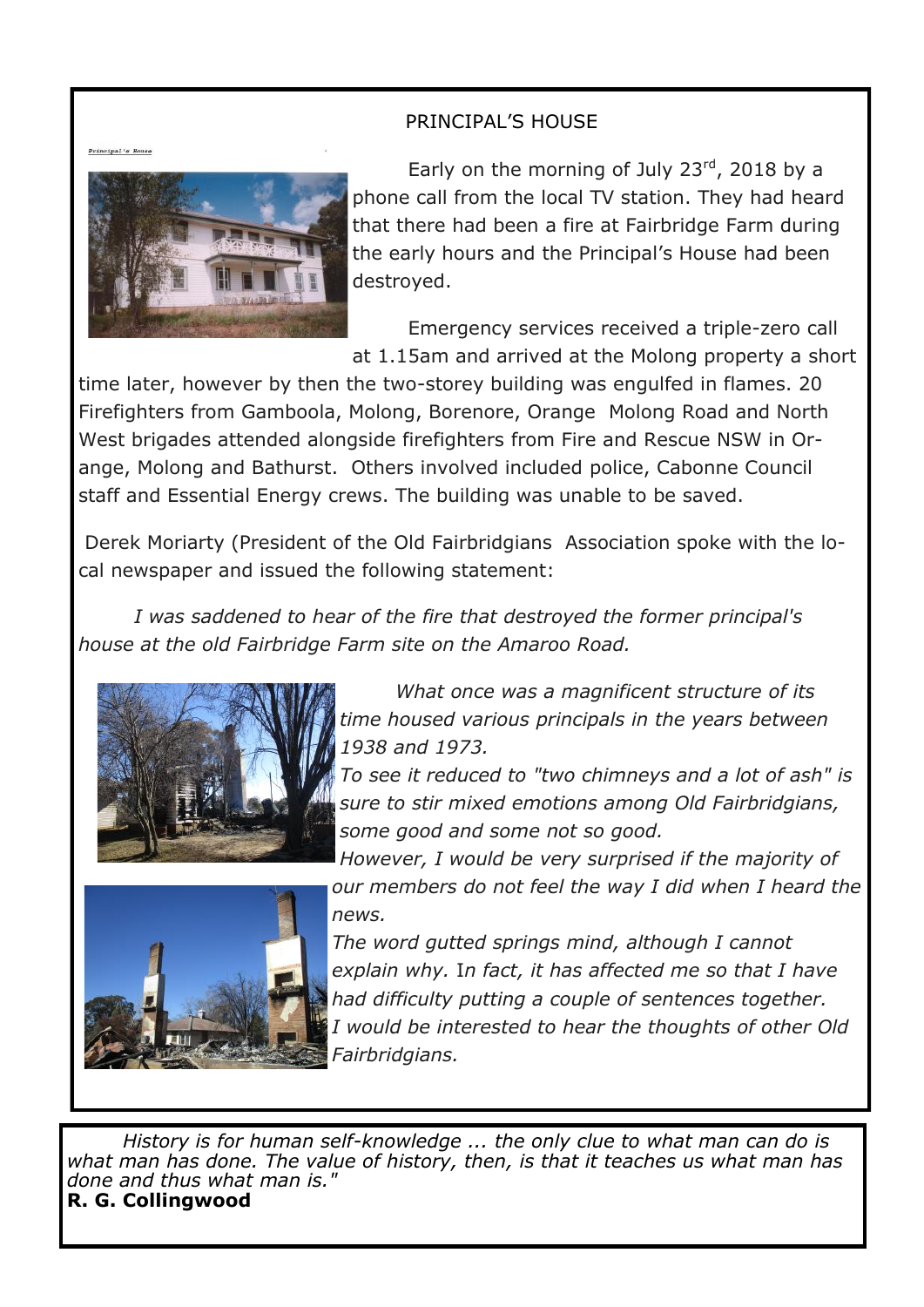#### PRINCIPAL'S HOUSE

Principal's Hous



Early on the morning of July  $23^{rd}$ , 2018 by a phone call from the local TV station. They had heard that there had been a fire at Fairbridge Farm during the early hours and the Principal's House had been destroyed.

Emergency services received a triple-zero call at 1.15am and arrived at the Molong property a short

time later, however by then the two-storey building was engulfed in flames. 20 Firefighters from Gamboola, Molong, Borenore, Orange Molong Road and North West brigades attended alongside firefighters from Fire and Rescue NSW in Orange, Molong and Bathurst. Others involved included police, Cabonne Council staff and Essential Energy crews. The building was unable to be saved.

Derek Moriarty (President of the Old Fairbridgians Association spoke with the local newspaper and issued the following statement:

*I was saddened to hear of the fire that destroyed the former principal's house at the old Fairbridge Farm site on the Amaroo Road.*



*What once was a magnificent structure of its time housed various principals in the years between 1938 and 1973.*

*To see it reduced to "two chimneys and a lot of ash" is sure to stir mixed emotions among Old Fairbridgians, some good and some not so good.*



*However, I would be very surprised if the majority of our members do not feel the way I did when I heard the news.*

*The word gutted springs mind, although I cannot explain why.* I*n fact, it has affected me so that I have had difficulty putting a couple of sentences together. I would be interested to hear the thoughts of other Old Fairbridgians.*

*History is for human self-knowledge ... the only clue to what man can do is what man has done. The value of history, then, is that it teaches us what man has done and thus what man is."* **R. G. Collingwood**